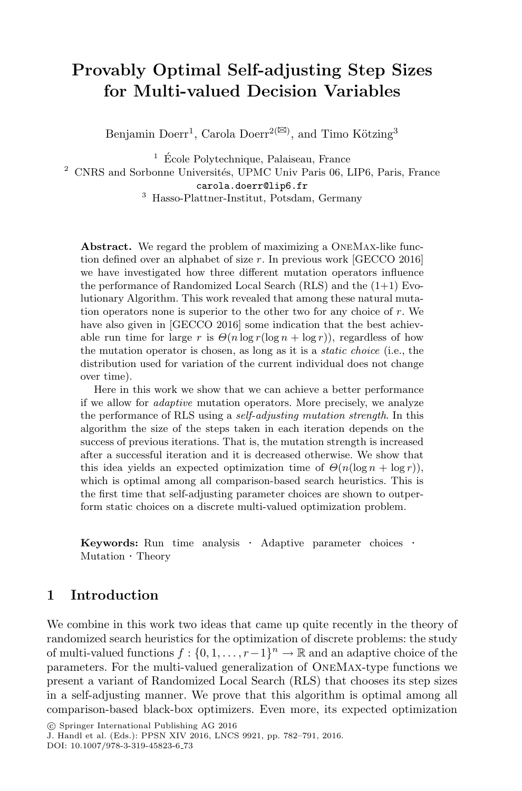# **Provably Optimal Self-adjusting Step Sizes for Multi-valued Decision Variables**

Benjamin Doerr<sup>1</sup>, Carola Doerr<sup>2( $\boxtimes$ )</sup>, and Timo Kötzing<sup>3</sup>

 $1 \nE$ cole Polytechnique, Palaiseau, France

 $2$  CNRS and Sorbonne Universités, UPMC Univ Paris 06, LIP6, Paris, France carola.doerr@lip6.fr

<sup>3</sup> Hasso-Plattner-Institut, Potsdam, Germany

**Abstract.** We regard the problem of maximizing a OneMax-like function defined over an alphabet of size r. In previous work [GECCO 2016] we have investigated how three different mutation operators influence the performance of Randomized Local Search (RLS) and the (1+1) Evolutionary Algorithm. This work revealed that among these natural mutation operators none is superior to the other two for any choice of  $r$ . We have also given in [GECCO 2016] some indication that the best achievable run time for large r is  $\Theta(n \log r (\log n + \log r))$ , regardless of how the mutation operator is chosen, as long as it is a *static choice* (i.e., the distribution used for variation of the current individual does not change over time).

Here in this work we show that we can achieve a better performance if we allow for *adaptive* mutation operators. More precisely, we analyze the performance of RLS using a *self-adjusting mutation strength*. In this algorithm the size of the steps taken in each iteration depends on the success of previous iterations. That is, the mutation strength is increased after a successful iteration and it is decreased otherwise. We show that this idea yields an expected optimization time of  $\Theta(n(\log n + \log r))$ , which is optimal among all comparison-based search heuristics. This is the first time that self-adjusting parameter choices are shown to outperform static choices on a discrete multi-valued optimization problem.

**Keywords:** Run time analysis  $\cdot$  Adaptive parameter choices  $\cdot$  Mutation  $\cdot$  Theory

## **1 Introduction**

We combine in this work two ideas that came up quite recently in the theory of randomized search heuristics for the optimization of discrete problems: the study of multi-valued functions  $f : \{0, 1, \ldots, r-1\}^n \to \mathbb{R}$  and an adaptive choice of the parameters. For the multi-valued generalization of OneMax-type functions we present a variant of Randomized Local Search (RLS) that chooses its step sizes in a self-adjusting manner. We prove that this algorithm is optimal among all comparison-based black-box optimizers. Even more, its expected optimization

-c Springer International Publishing AG 2016

J. Handl et al. (Eds.): PPSN XIV 2016, LNCS 9921, pp. 782–791, 2016.

DOI: 10.1007/978-3-319-45823-6 73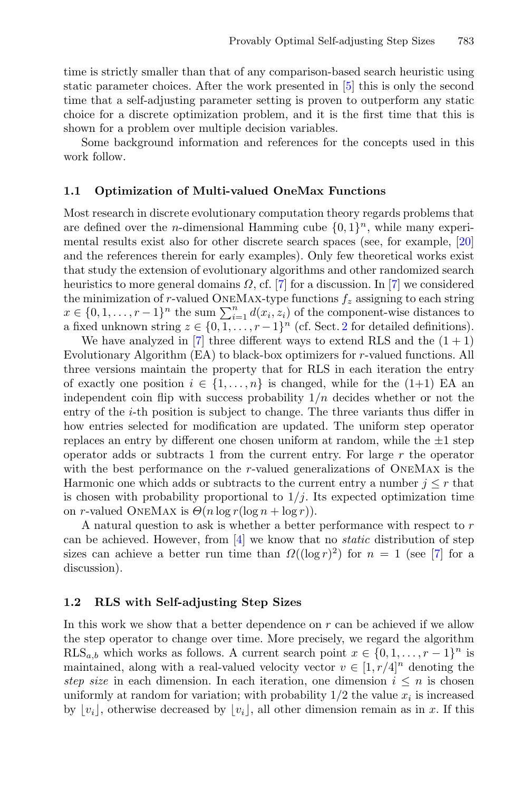time is strictly smaller than that of any comparison-based search heuristic using static parameter choices. After the work presented in [\[5](#page-8-0)] this is only the second time that a self-adjusting parameter setting is proven to outperform any static choice for a discrete optimization problem, and it is the first time that this is shown for a problem over multiple decision variables.

Some background information and references for the concepts used in this work follow.

#### **1.1 Optimization of Multi-valued OneMax Functions**

Most research in discrete evolutionary computation theory regards problems that are defined over the *n*-dimensional Hamming cube  $\{0, 1\}^n$ , while many experimental results exist also for other discrete search spaces (see, for example, [\[20\]](#page-9-0) and the references therein for early examples). Only few theoretical works exist that study the extension of evolutionary algorithms and other randomized search heuristics to more general domains  $\Omega$ , cf. [\[7](#page-8-1)] for a discussion. In [\[7\]](#page-8-1) we considered the minimization of r-valued ONEMAX-type functions  $f_z$  assigning to each string  $x \in \{0, 1, \ldots, r-1\}^n$  the sum  $\sum_{i=1}^n d(x_i, z_i)$  of the component-wise distances to a fixed unknown string  $z \in \{0, 1, \ldots, r-1\}^n$  (cf. Sect. [2](#page-3-0) for detailed definitions).

We have analyzed in [\[7\]](#page-8-1) three different ways to extend RLS and the  $(1 + 1)$ Evolutionary Algorithm (EA) to black-box optimizers for r-valued functions. All three versions maintain the property that for RLS in each iteration the entry of exactly one position  $i \in \{1, \ldots, n\}$  is changed, while for the  $(1+1)$  EA an independent coin flip with success probability  $1/n$  decides whether or not the entry of the i-th position is subject to change. The three variants thus differ in how entries selected for modification are updated. The uniform step operator replaces an entry by different one chosen uniform at random, while the  $\pm 1$  step operator adds or subtracts 1 from the current entry. For large  $r$  the operator with the best performance on the r-valued generalizations of OneMax is the Harmonic one which adds or subtracts to the current entry a number  $j \leq r$  that is chosen with probability proportional to  $1/j$ . Its expected optimization time on r-valued ONEMAX is  $\Theta(n \log r (\log n + \log r)).$ 

A natural question to ask is whether a better performance with respect to  $r$ can be achieved. However, from [\[4](#page-8-2)] we know that no *static* distribution of step sizes can achieve a better run time than  $\Omega((\log r)^2)$  for  $n = 1$  (see [\[7\]](#page-8-1) for a discussion).

#### **1.2 RLS with Self-adjusting Step Sizes**

In this work we show that a better dependence on  $r$  can be achieved if we allow the step operator to change over time. More precisely, we regard the algorithm RLS<sub>a,b</sub> which works as follows. A current search point  $x \in \{0, 1, \ldots, r-1\}^n$  is maintained, along with a real-valued velocity vector  $v \in [1, r/4]^n$  denoting the *step size* in each dimension. In each iteration, one dimension  $i \leq n$  is chosen uniformly at random for variation; with probability  $1/2$  the value  $x_i$  is increased by  $|v_i|$ , otherwise decreased by  $|v_i|$ , all other dimension remain as in x. If this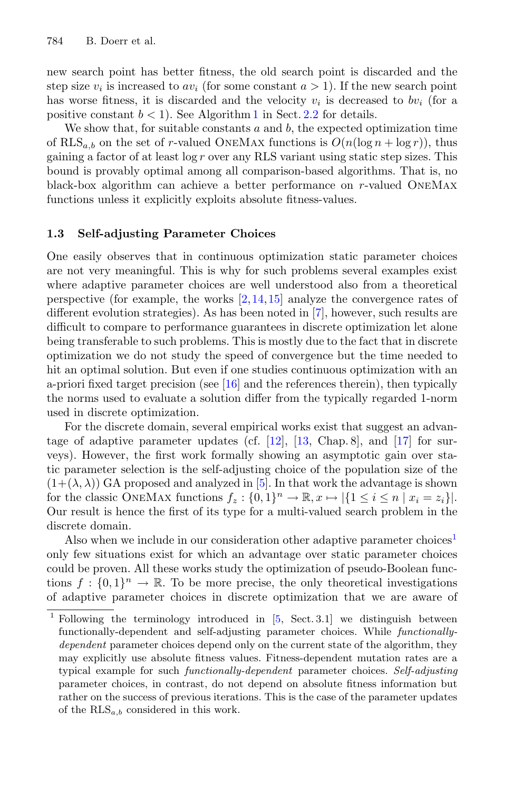new search point has better fitness, the old search point is discarded and the step size  $v_i$  is increased to av<sub>i</sub> (for some constant  $a > 1$ ). If the new search point has worse fitness, it is discarded and the velocity  $v_i$  is decreased to  $bv_i$  (for a positive constant  $b < 1$  $b < 1$ ). See Algorithm 1 in Sect. [2.2](#page-4-1) for details.

We show that, for suitable constants  $a$  and  $b$ , the expected optimization time of RLS<sub>a,b</sub> on the set of r-valued ONEMAX functions is  $O(n(\log n + \log r))$ , thus gaining a factor of at least  $\log r$  over any RLS variant using static step sizes. This bound is provably optimal among all comparison-based algorithms. That is, no black-box algorithm can achieve a better performance on r-valued OneMax functions unless it explicitly exploits absolute fitness-values.

#### **1.3 Self-adjusting Parameter Choices**

One easily observes that in continuous optimization static parameter choices are not very meaningful. This is why for such problems several examples exist where adaptive parameter choices are well understood also from a theoretical perspective (for example, the works  $[2,14,15]$  $[2,14,15]$  $[2,14,15]$  $[2,14,15]$  analyze the convergence rates of different evolution strategies). As has been noted in [\[7\]](#page-8-1), however, such results are difficult to compare to performance guarantees in discrete optimization let alone being transferable to such problems. This is mostly due to the fact that in discrete optimization we do not study the speed of convergence but the time needed to hit an optimal solution. But even if one studies continuous optimization with an a-priori fixed target precision (see  $[16]$  and the references therein), then typically the norms used to evaluate a solution differ from the typically regarded 1-norm used in discrete optimization.

For the discrete domain, several empirical works exist that suggest an advantage of adaptive parameter updates (cf.  $[12]$ ,  $[13]$  $[13]$ , Chap. 8, and  $[17]$  $[17]$  for surveys). However, the first work formally showing an asymptotic gain over static parameter selection is the self-adjusting choice of the population size of the  $(1+(\lambda, \lambda))$  GA proposed and analyzed in [\[5](#page-8-0)]. In that work the advantage is shown for the classic ONEMAX functions  $f_z: \{0,1\}^n \to \mathbb{R}, x \mapsto |\{1 \leq i \leq n \mid x_i = z_i\}|.$ Our result is hence the first of its type for a multi-valued search problem in the discrete domain.

Also when we include in our consideration other adaptive parameter choices<sup>[1](#page-2-0)</sup> only few situations exist for which an advantage over static parameter choices could be proven. All these works study the optimization of pseudo-Boolean functions  $f: \{0,1\}^n \to \mathbb{R}$ . To be more precise, the only theoretical investigations of adaptive parameter choices in discrete optimization that we are aware of

<span id="page-2-0"></span><sup>1</sup> Following the terminology introduced in [\[5](#page-8-0), Sect. 3.1] we distinguish between functionally-dependent and self-adjusting parameter choices. While *functionallydependent* parameter choices depend only on the current state of the algorithm, they may explicitly use absolute fitness values. Fitness-dependent mutation rates are a typical example for such *functionally-dependent* parameter choices. *Self-adjusting* parameter choices, in contrast, do not depend on absolute fitness information but rather on the success of previous iterations. This is the case of the parameter updates of the RLS*a,b* considered in this work.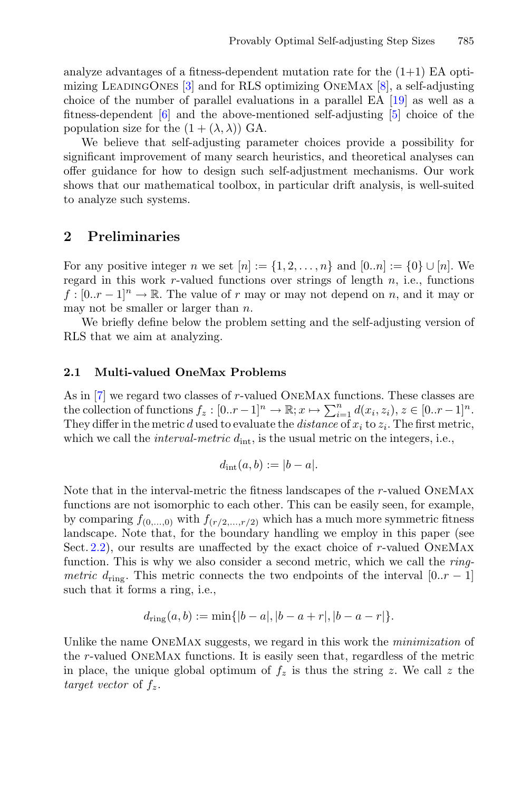analyze advantages of a fitness-dependent mutation rate for the  $(1+1)$  EA optimizing LEADINGONES  $[3]$  $[3]$  and for RLS optimizing ONEMAX  $[8]$  $[8]$ , a self-adjusting choice of the number of parallel evaluations in a parallel EA [\[19\]](#page-9-6) as well as a fitness-dependent [\[6](#page-8-7)] and the above-mentioned self-adjusting [\[5](#page-8-0)] choice of the population size for the  $(1 + (\lambda, \lambda))$  GA.

We believe that self-adjusting parameter choices provide a possibility for significant improvement of many search heuristics, and theoretical analyses can offer guidance for how to design such self-adjustment mechanisms. Our work shows that our mathematical toolbox, in particular drift analysis, is well-suited to analyze such systems.

## <span id="page-3-0"></span>**2 Preliminaries**

For any positive integer n we set  $[n] := \{1, 2, \ldots, n\}$  and  $[0..n] := \{0\} \cup [n]$ . We regard in this work r-valued functions over strings of length  $n$ , i.e., functions  $f : [0..r-1]^n \to \mathbb{R}$ . The value of r may or may not depend on n, and it may or may not be smaller or larger than  $n$ .

We briefly define below the problem setting and the self-adjusting version of RLS that we aim at analyzing.

#### **2.1 Multi-valued OneMax Problems**

As in [\[7\]](#page-8-1) we regard two classes of r-valued OneMax functions. These classes are the collection of functions  $f_z : [0..r-1]^n \to \mathbb{R}; x \mapsto \sum_{i=1}^n d(x_i, z_i), z \in [0..r-1]^n.$ They differ in the metric d used to evaluate the  $distance$  of  $x_i$  to  $z_i$ . The first metric, which we call the *interval-metric*  $d_{\text{int}}$ , is the usual metric on the integers, i.e.,

$$
d_{\rm int}(a,b):=|b-a|.
$$

Note that in the interval-metric the fitness landscapes of the r-valued OneMax functions are not isomorphic to each other. This can be easily seen, for example, by comparing  $f_{(0,\ldots,0)}$  with  $f_{(r/2,\ldots,r/2)}$  which has a much more symmetric fitness landscape. Note that, for the boundary handling we employ in this paper (see Sect. [2.2\)](#page-4-1), our results are unaffected by the exact choice of r-valued OneMax function. This is why we also consider a second metric, which we call the *ringmetric*  $d_{\text{ring}}$ . This metric connects the two endpoints of the interval  $[0..r-1]$ such that it forms a ring, i.e.,

$$
d_{\rm ring}(a,b) := \min\{|b-a|, |b-a+r|, |b-a-r|\}.
$$

Unlike the name OneMax suggests, we regard in this work the *minimization* of the r-valued OneMax functions. It is easily seen that, regardless of the metric in place, the unique global optimum of  $f<sub>z</sub>$  is thus the string z. We call z the *target vector* of  $f_z$ .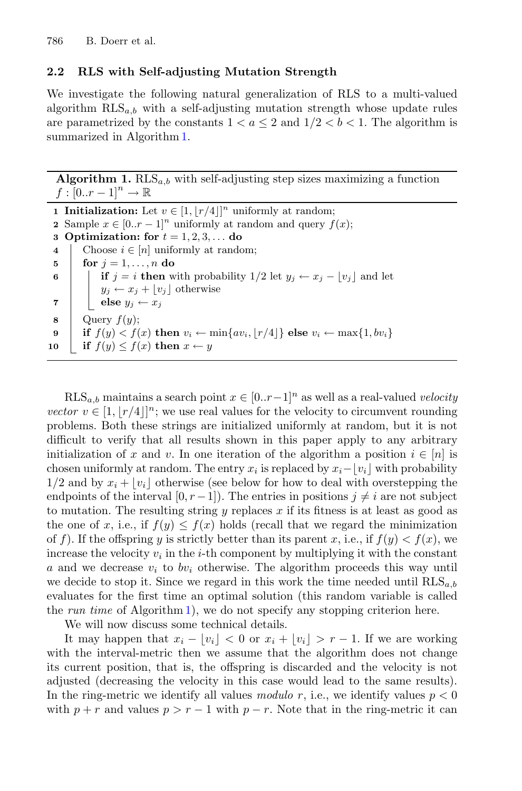#### <span id="page-4-1"></span>**2.2 RLS with Self-adjusting Mutation Strength**

We investigate the following natural generalization of RLS to a multi-valued algorithm  $RLS_{a,b}$  with a self-adjusting mutation strength whose update rules are parametrized by the constants  $1 < a \leq 2$  and  $1/2 < b < 1$ . The algorithm is summarized in Algorithm [1.](#page-4-0)

**Algorithm 1.** RLS<sub>a,b</sub> with self-adjusting step sizes maximizing a function  $f: [0..r-1]^n \to \mathbb{R}$ 

 **Initialization:** Let  $v \in [1, \lfloor r/4 \rfloor]^n$  uniformly at random; Sample  $x \in [0..r-1]^n$  uniformly at random and query  $f(x)$ ; **Optimization:** for  $t = 1, 2, 3, \ldots$  **do**  Choose  $i \in [n]$  uniformly at random;<br>**5** for  $i = 1, ..., n$  do **for**  $j = 1, \ldots, n$  **do i if**  $j = i$  **then** with probability  $1/2$  let  $y_j \leftarrow x_j - \lfloor v_j \rfloor$  and let  $y_j \leftarrow x_j + \lfloor v_j \rfloor$  otherwise **else**  $y_j \leftarrow x_j$  Query  $f(y)$ ; **if**  $f(y) < f(x)$  **then**  $v_i \leftarrow \min\{av_i, \lfloor r/4 \rfloor\}$  **else**  $v_i \leftarrow \max\{1, bv_i\}$ <br> **if**  $f(y) < f(x)$  **then**  $x \leftarrow y$ **if**  $f(y) \leq f(x)$  **then**  $x \leftarrow y$ 

<span id="page-4-0"></span>RLS<sub>a,b</sub> maintains a search point  $x \in [0..r-1]^n$  as well as a real-valued *velocity vector*  $v \in [1, \lfloor r/4 \rfloor]^n$ ; we use real values for the velocity to circumvent rounding problems. Both these strings are initialized uniformly at random, but it is not difficult to verify that all results shown in this paper apply to any arbitrary initialization of x and v. In one iteration of the algorithm a position  $i \in [n]$  is chosen uniformly at random. The entry  $x_i$  is replaced by  $x_i-|v_i|$  with probability  $1/2$  and by  $x_i + |v_i|$  otherwise (see below for how to deal with overstepping the endpoints of the interval  $[0, r-1]$ ). The entries in positions  $j \neq i$  are not subject to mutation. The resulting string y replaces x if its fitness is at least as good as the one of x, i.e., if  $f(y) \leq f(x)$  holds (recall that we regard the minimization of f). If the offspring y is strictly better than its parent x, i.e., if  $f(y) < f(x)$ , we increase the velocity  $v_i$  in the *i*-th component by multiplying it with the constant a and we decrease  $v_i$  to  $bv_i$  otherwise. The algorithm proceeds this way until we decide to stop it. Since we regard in this work the time needed until  $RLS_{a,b}$ evaluates for the first time an optimal solution (this random variable is called the *run time* of Algorithm [1\)](#page-4-0), we do not specify any stopping criterion here.

We will now discuss some technical details.

It may happen that  $x_i - |v_i| < 0$  or  $x_i + |v_i| > r - 1$ . If we are working with the interval-metric then we assume that the algorithm does not change its current position, that is, the offspring is discarded and the velocity is not adjusted (decreasing the velocity in this case would lead to the same results). In the ring-metric we identify all values *modulo* r, i.e., we identify values  $p < 0$ with  $p + r$  and values  $p > r - 1$  with  $p - r$ . Note that in the ring-metric it can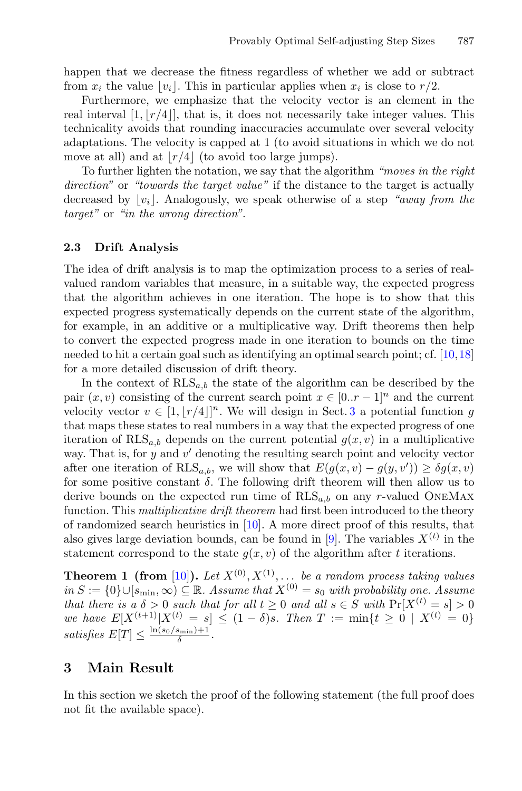happen that we decrease the fitness regardless of whether we add or subtract from  $x_i$  the value  $|v_i|$ . This in particular applies when  $x_i$  is close to  $r/2$ .

Furthermore, we emphasize that the velocity vector is an element in the real interval  $[1, r/4]$ , that is, it does not necessarily take integer values. This technicality avoids that rounding inaccuracies accumulate over several velocity adaptations. The velocity is capped at 1 (to avoid situations in which we do not move at all) and at  $|r/4|$  (to avoid too large jumps).

To further lighten the notation, we say that the algorithm *"moves in the right direction"* or *"towards the target value"* if the distance to the target is actually decreased by  $|v_i|$ . Analogously, we speak otherwise of a step *"away from the target"* or *"in the wrong direction"*.

#### <span id="page-5-1"></span>**2.3 Drift Analysis**

The idea of drift analysis is to map the optimization process to a series of realvalued random variables that measure, in a suitable way, the expected progress that the algorithm achieves in one iteration. The hope is to show that this expected progress systematically depends on the current state of the algorithm, for example, in an additive or a multiplicative way. Drift theorems then help to convert the expected progress made in one iteration to bounds on the time needed to hit a certain goal such as identifying an optimal search point; cf. [\[10,](#page-8-8)[18\]](#page-9-7) for a more detailed discussion of drift theory.

In the context of  $RLS_{a,b}$  the state of the algorithm can be described by the pair  $(x, v)$  consisting of the current search point  $x \in [0..r-1]^n$  and the current velocity vector  $v \in [1, \lfloor r/4 \rfloor]^n$ . We will design in Sect. [3](#page-5-0) a potential function g that maps these states to real numbers in a way that the expected progress of one iteration of RLS<sub>a,b</sub> depends on the current potential  $g(x, v)$  in a multiplicative way. That is, for  $y$  and  $v'$  denoting the resulting search point and velocity vector after one iteration of  $RLS_{a,b}$ , we will show that  $E(g(x, v) - g(y, v')) \ge \delta g(x, v)$ for some positive constant  $\delta$ . The following drift theorem will then allow us to derive bounds on the expected run time of  $RLS_{a,b}$  on any r-valued ONEMAX function. This *multiplicative drift theorem* had first been introduced to the theory of randomized search heuristics in [\[10](#page-8-8)]. A more direct proof of this results, that also gives large deviation bounds, can be found in [\[9\]](#page-8-9). The variables  $X^{(t)}$  in the statement correspond to the state  $g(x, v)$  of the algorithm after t iterations.

<span id="page-5-2"></span>**Theorem 1 (from** [\[10](#page-8-8)]). Let  $X^{(0)}, X^{(1)},...$  be a random process taking values  $in S := \{0\} \cup [s_{\min}, \infty) \subseteq \mathbb{R}$ . Assume that  $X^{(0)} = s_0$  with probability one. Assume *that there is a*  $\delta > 0$  *such that for all*  $t \geq 0$  *and all*  $s \in S$  *with*  $Pr[X^{(t)} = s] > 0$ *we have*  $E[X^{(t+1)}|X^{(t)} = s] \leq (1-\delta)s$ *. Then*  $T := \min\{t \geq 0 \mid X^{(t)} = 0\}$ *satisfies*  $E[T] \leq \frac{\ln(s_0/s_{\min})+1}{\delta}$ .

#### <span id="page-5-0"></span>**3 Main Result**

In this section we sketch the proof of the following statement (the full proof does not fit the available space).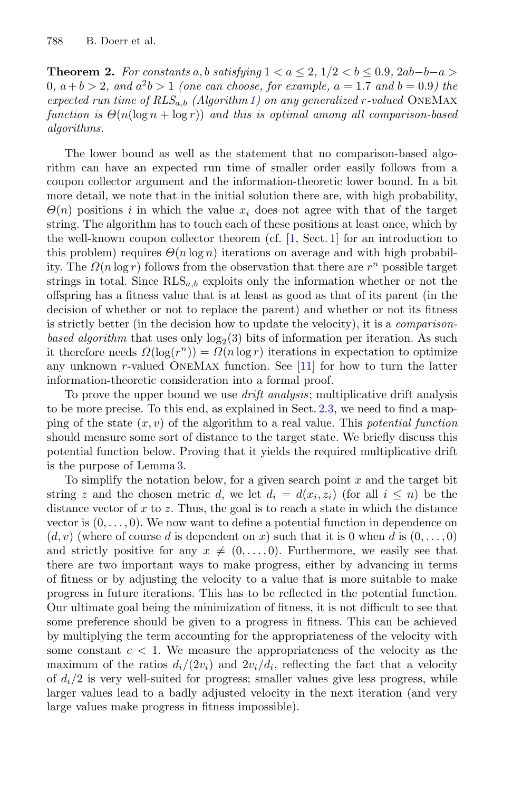**Theorem 2.** *For constants* a, b *satisfying*  $1 < a \leq 2$ ,  $1/2 < b \leq 0.9$ ,  $2ab-b-a$ 0,  $a + b > 2$ , and  $a<sup>2</sup>b > 1$  *(one can choose, for example,*  $a = 1.7$  *and*  $b = 0.9$ *) the expected run time of RLS*a,b *(Algorithm [1\)](#page-4-0) on any generalized* r*-valued* OneMax *function is*  $\Theta(n(\log n + \log r))$  *and this is optimal among all comparison-based algorithms.*

The lower bound as well as the statement that no comparison-based algorithm can have an expected run time of smaller order easily follows from a coupon collector argument and the information-theoretic lower bound. In a bit more detail, we note that in the initial solution there are, with high probability,  $\Theta(n)$  positions i in which the value  $x_i$  does not agree with that of the target string. The algorithm has to touch each of these positions at least once, which by the well-known coupon collector theorem (cf. [\[1,](#page-8-10) Sect. 1] for an introduction to this problem) requires  $\Theta(n \log n)$  iterations on average and with high probability. The  $\Omega(n \log r)$  follows from the observation that there are  $r^n$  possible target strings in total. Since  $RLS_{a,b}$  exploits only the information whether or not the offspring has a fitness value that is at least as good as that of its parent (in the decision of whether or not to replace the parent) and whether or not its fitness is strictly better (in the decision how to update the velocity), it is a *comparisonbased algorithm* that uses only  $log_2(3)$  bits of information per iteration. As such it therefore needs  $\Omega(\log(r^n)) = \Omega(n \log r)$  iterations in expectation to optimize any unknown r-valued ONEMAX function. See  $[11]$  for how to turn the latter information-theoretic consideration into a formal proof.

To prove the upper bound we use *drift analysis*; multiplicative drift analysis to be more precise. To this end, as explained in Sect. [2.3,](#page-5-1) we need to find a mapping of the state  $(x, v)$  of the algorithm to a real value. This *potential function* should measure some sort of distance to the target state. We briefly discuss this potential function below. Proving that it yields the required multiplicative drift is the purpose of Lemma [3.](#page-7-0)

To simplify the notation below, for a given search point  $x$  and the target bit string z and the chosen metric d, we let  $d_i = d(x_i, z_i)$  (for all  $i \leq n$ ) be the distance vector of x to z. Thus, the goal is to reach a state in which the distance vector is  $(0,\ldots,0)$ . We now want to define a potential function in dependence on  $(d, v)$  (where of course d is dependent on x) such that it is 0 when d is  $(0, \ldots, 0)$ and strictly positive for any  $x \neq (0,\ldots,0)$ . Furthermore, we easily see that there are two important ways to make progress, either by advancing in terms of fitness or by adjusting the velocity to a value that is more suitable to make progress in future iterations. This has to be reflected in the potential function. Our ultimate goal being the minimization of fitness, it is not difficult to see that some preference should be given to a progress in fitness. This can be achieved by multiplying the term accounting for the appropriateness of the velocity with some constant  $c < 1$ . We measure the appropriateness of the velocity as the maximum of the ratios  $d_i/(2v_i)$  and  $2v_i/d_i$ , reflecting the fact that a velocity of  $d_i/2$  is very well-suited for progress; smaller values give less progress, while larger values lead to a badly adjusted velocity in the next iteration (and very large values make progress in fitness impossible).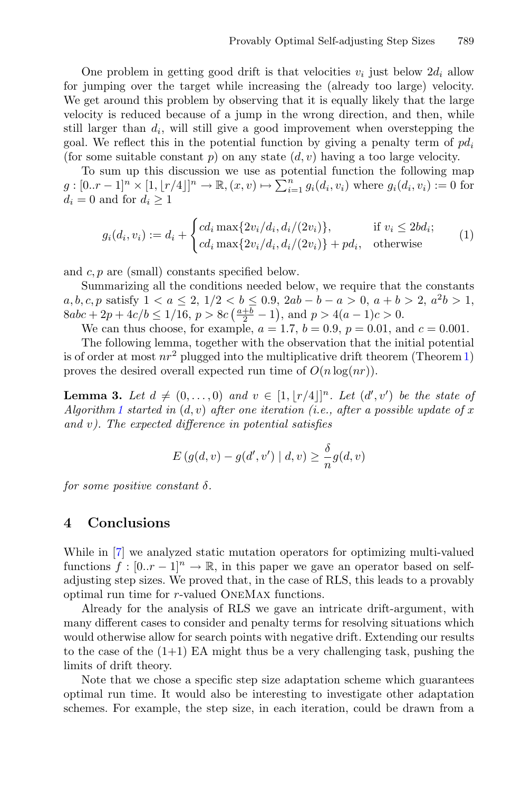One problem in getting good drift is that velocities  $v_i$  just below  $2d_i$  allow for jumping over the target while increasing the (already too large) velocity. We get around this problem by observing that it is equally likely that the large velocity is reduced because of a jump in the wrong direction, and then, while still larger than  $d_i$ , will still give a good improvement when overstepping the goal. We reflect this in the potential function by giving a penalty term of  $pd_i$ (for some suitable constant p) on any state  $(d, v)$  having a too large velocity.

To sum up this discussion we use as potential function the following map  $g: [0..r-1]^n \times [1, [r/4]]^n \to \mathbb{R}, (x, v) \mapsto \sum_{i=1}^n g_i(d_i, v_i)$  where  $g_i(d_i, v_i) := 0$  for  $d_i = 0$  and for  $d_i \geq 1$ 

$$
g_i(d_i, v_i) := d_i + \begin{cases} cd_i \max\{2v_i/d_i, d_i/(2v_i)\}, & \text{if } v_i \le 2bd_i; \\ cd_i \max\{2v_i/d_i, d_i/(2v_i)\} + pd_i, & \text{otherwise} \end{cases}
$$
(1)

and c, p are (small) constants specified below.

Summarizing all the conditions needed below, we require that the constants a, b, c, p satisfy  $1 < a \leq 2$ ,  $1/2 < b \leq 0.9$ ,  $2ab - b - a > 0$ ,  $a + b > 2$ ,  $a^2b > 1$ ,  $8abc + 2p + 4c/b \le 1/16$ ,  $p > 8c\left(\frac{a+b}{2} - 1\right)$ , and  $p > 4(a-1)c > 0$ .

We can thus choose, for example,  $a = 1.7$ ,  $b = 0.9$ ,  $p = 0.01$ , and  $c = 0.001$ .

The following lemma, together with the observation that the initial potential is of order at most  $nr^2$  plugged into the multiplicative drift theorem (Theorem [1\)](#page-5-2) proves the desired overall expected run time of  $O(n \log(nr))$ .

<span id="page-7-0"></span>**Lemma 3.** Let  $d \neq (0, \ldots, 0)$  and  $v \in [1, \lfloor r/4 \rfloor]^n$ . Let  $(d', v')$  be the state of *Algorithm [1](#page-4-0) started in* (d, v) *after one iteration (i.e., after a possible update of* x *and* v*). The expected difference in potential satisfies*

$$
E(g(d, v) - g(d', v') | d, v) \ge \frac{\delta}{n} g(d, v)
$$

*for some positive constant* δ*.*

## **4 Conclusions**

While in  $\boxed{7}$  we analyzed static mutation operators for optimizing multi-valued functions  $f : [0..r-1]^n \to \mathbb{R}$ , in this paper we gave an operator based on selfadjusting step sizes. We proved that, in the case of RLS, this leads to a provably optimal run time for r-valued OneMax functions.

Already for the analysis of RLS we gave an intricate drift-argument, with many different cases to consider and penalty terms for resolving situations which would otherwise allow for search points with negative drift. Extending our results to the case of the  $(1+1)$  EA might thus be a very challenging task, pushing the limits of drift theory.

Note that we chose a specific step size adaptation scheme which guarantees optimal run time. It would also be interesting to investigate other adaptation schemes. For example, the step size, in each iteration, could be drawn from a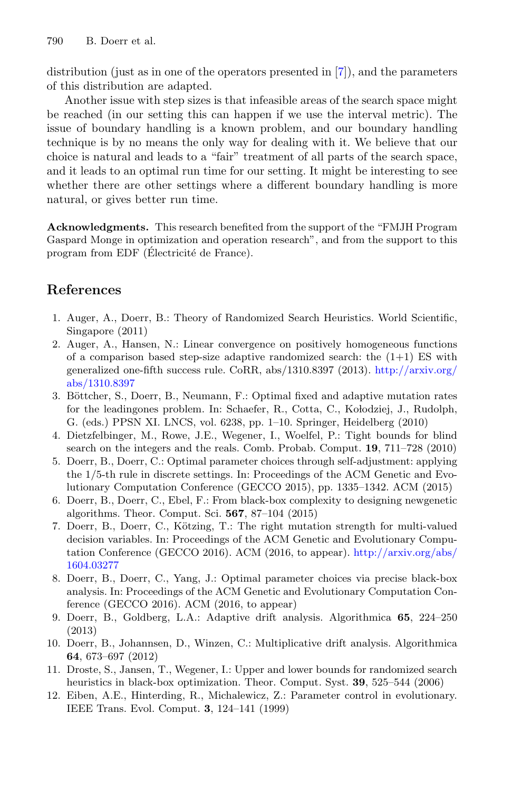distribution (just as in one of the operators presented in [\[7\]](#page-8-1)), and the parameters of this distribution are adapted.

Another issue with step sizes is that infeasible areas of the search space might be reached (in our setting this can happen if we use the interval metric). The issue of boundary handling is a known problem, and our boundary handling technique is by no means the only way for dealing with it. We believe that our choice is natural and leads to a "fair" treatment of all parts of the search space, and it leads to an optimal run time for our setting. It might be interesting to see whether there are other settings where a different boundary handling is more natural, or gives better run time.

**Acknowledgments.** This research benefited from the support of the "FMJH Program Gaspard Monge in optimization and operation research", and from the support to this program from EDF (Electricité de France).

## **References**

- <span id="page-8-10"></span>1. Auger, A., Doerr, B.: Theory of Randomized Search Heuristics. World Scientific, Singapore (2011)
- <span id="page-8-3"></span>2. Auger, A., Hansen, N.: Linear convergence on positively homogeneous functions of a comparison based step-size adaptive randomized search: the  $(1+1)$  ES with generalized one-fifth success rule. CoRR, abs/1310.8397 (2013). [http://arxiv.org/](http://arxiv.org/abs/1310.8397) [abs/1310.8397](http://arxiv.org/abs/1310.8397)
- <span id="page-8-5"></span>3. Böttcher, S., Doerr, B., Neumann, F.: Optimal fixed and adaptive mutation rates for the leadingones problem. In: Schaefer, R., Cotta, C., Kolodziej, J., Rudolph, G. (eds.) PPSN XI. LNCS, vol. 6238, pp. 1–10. Springer, Heidelberg (2010)
- <span id="page-8-2"></span>4. Dietzfelbinger, M., Rowe, J.E., Wegener, I., Woelfel, P.: Tight bounds for blind search on the integers and the reals. Comb. Probab. Comput. **19**, 711–728 (2010)
- <span id="page-8-0"></span>5. Doerr, B., Doerr, C.: Optimal parameter choices through self-adjustment: applying the 1/5-th rule in discrete settings. In: Proceedings of the ACM Genetic and Evolutionary Computation Conference (GECCO 2015), pp. 1335–1342. ACM (2015)
- <span id="page-8-7"></span>6. Doerr, B., Doerr, C., Ebel, F.: From black-box complexity to designing newgenetic algorithms. Theor. Comput. Sci. **567**, 87–104 (2015)
- <span id="page-8-1"></span>7. Doerr, B., Doerr, C., Kötzing, T.: The right mutation strength for multi-valued decision variables. In: Proceedings of the ACM Genetic and Evolutionary Computation Conference (GECCO 2016). ACM (2016, to appear). [http://arxiv.org/abs/](http://arxiv.org/abs/1604.03277) [1604.03277](http://arxiv.org/abs/1604.03277)
- <span id="page-8-6"></span>8. Doerr, B., Doerr, C., Yang, J.: Optimal parameter choices via precise black-box analysis. In: Proceedings of the ACM Genetic and Evolutionary Computation Conference (GECCO 2016). ACM (2016, to appear)
- <span id="page-8-9"></span>9. Doerr, B., Goldberg, L.A.: Adaptive drift analysis. Algorithmica **65**, 224–250 (2013)
- <span id="page-8-8"></span>10. Doerr, B., Johannsen, D., Winzen, C.: Multiplicative drift analysis. Algorithmica **64**, 673–697 (2012)
- <span id="page-8-11"></span>11. Droste, S., Jansen, T., Wegener, I.: Upper and lower bounds for randomized search heuristics in black-box optimization. Theor. Comput. Syst. **39**, 525–544 (2006)
- <span id="page-8-4"></span>12. Eiben, A.E., Hinterding, R., Michalewicz, Z.: Parameter control in evolutionary. IEEE Trans. Evol. Comput. **3**, 124–141 (1999)